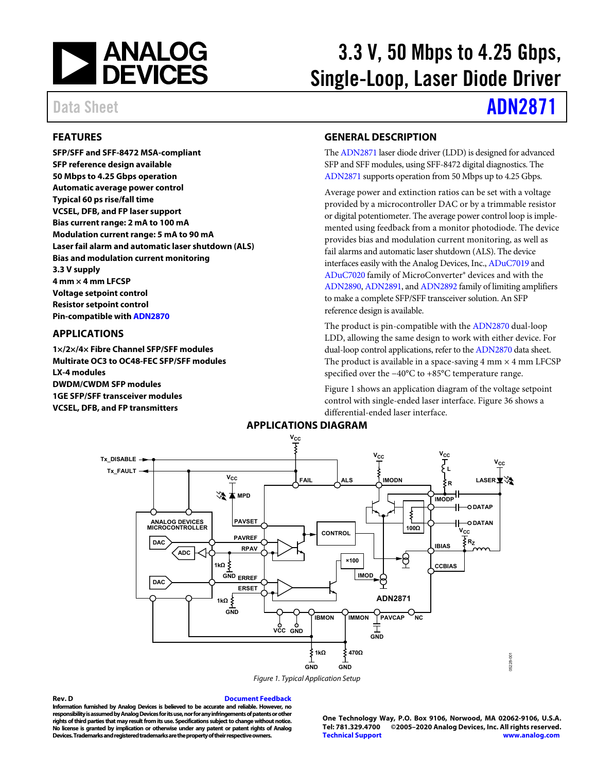

# 3.3 V, 50 Mbps to 4.25 Gbps, Single-Loop, Laser Diode Driver

# Data Sheet **[ADN2871](http://www.analog.com/ADN2871?doc=ADN2871.pdf)**

## <span id="page-0-1"></span>**FEATURES**

**SFP/SFF and SFF-8472 MSA-compliant SFP reference design available 50 Mbps to 4.25 Gbps operation Automatic average power control Typical 60 ps rise/fall time VCSEL, DFB, and FP laser support Bias current range: 2 mA to 100 mA Modulation current range: 5 mA to 90 mA Laser fail alarm and automatic laser shutdown (ALS) Bias and modulation current monitoring 3.3 V supply 4 mm × 4 mm LFCSP Voltage setpoint control Resistor setpoint control Pin-compatible wit[h ADN2870](http://www.analog.com/ADN2870?doc=ADN2871.pdf)**

## <span id="page-0-2"></span>**APPLICATIONS**

**1×/2×/4× Fibre Channel SFP/SFF modules Multirate OC3 to OC48-FEC SFP/SFF modules LX-4 modules DWDM/CWDM SFP modules 1GE SFP/SFF transceiver modules VCSEL, DFB, and FP transmitters** 

#### <span id="page-0-3"></span>**GENERAL DESCRIPTION**

Th[e ADN2871 l](http://www.analog.com/ADN2871?doc=ADN2871.pdf)aser diode driver (LDD) is designed for advanced SFP and SFF modules, using SFF-8472 digital diagnostics. The [ADN2871 s](http://www.analog.com/ADN2871?doc=ADN2871.pdf)upports operation from 50 Mbps up to 4.25 Gbps.

Average power and extinction ratios can be set with a voltage provided by a microcontroller DAC or by a trimmable resistor or digital potentiometer. The average power control loop is implemented using feedback from a monitor photodiode. The device provides bias and modulation current monitoring, as well as fail alarms and automatic laser shutdown (ALS). The device interfaces easily with the Analog Devices, Inc[., ADuC7019](http://www.analog.com/aduc7019?doc=ADN2871.pdf) and [ADuC7020 f](http://www.analog.com/ADuC7020?doc=ADN2871.pdf)amily of MicroConverter® devices and with the [ADN2890](http://www.analog.com/ADN2890?doc=ADN2871.pdf)[, ADN2891,](http://www.analog.com/ADN2891?doc=ADN2871.pdf) and [ADN2892 f](http://www.analog.com/ADN2892?doc=ADN2871.pdf)amily of limiting amplifiers to make a complete SFP/SFF transceiver solution. An SFP reference design is available.

The product is pin-compatible with th[e ADN2870](http://www.analog.com/ADN2870?doc=ADN2871.pdf) dual-loop LDD, allowing the same design to work with either device. For dual-loop control applications, refer to th[e ADN2870](http://www.analog.com/ADN2870?doc=ADN2871.pdf) data sheet. The product is available in a space-saving 4 mm  $\times$  4 mm LFCSP specified over the −40°C to +85°C temperature range.

[Figure 1](#page-0-0) shows an application diagram of the voltage setpoint control with single-ended laser interface[. Figure 36](#page-16-0) shows a differential-ended laser interface.

<span id="page-0-4"></span>

Figure 1. Typical Application Setup

#### <span id="page-0-0"></span>**Rev. D [Document Feedback](https://form.analog.com/Form_Pages/feedback/documentfeedback.aspx?doc=ADN2871.pdf&product=ADN2871&rev=D)**

**Information furnished by Analog Devices is believed to be accurate and reliable. However, no responsibility is assumed by Analog Devices for its use, nor for any infringements of patents or other rights of third parties that may result from its use. Specifications subject to change without notice. No license is granted by implication or otherwise under any patent or patent rights of Analog Devices. Trademarks and registered trademarks are the property of their respective owners.** 

**One Technology Way, P.O. Box 9106, Norwood, MA 02062-9106, U.S.A. Tel: 781.329.4700 ©2005–2020 Analog Devices, Inc. All rights reserved. [Technical Support](http://www.analog.com/en/content/technical_support_page/fca.html) [www.analog.com](http://www.analog.com/)**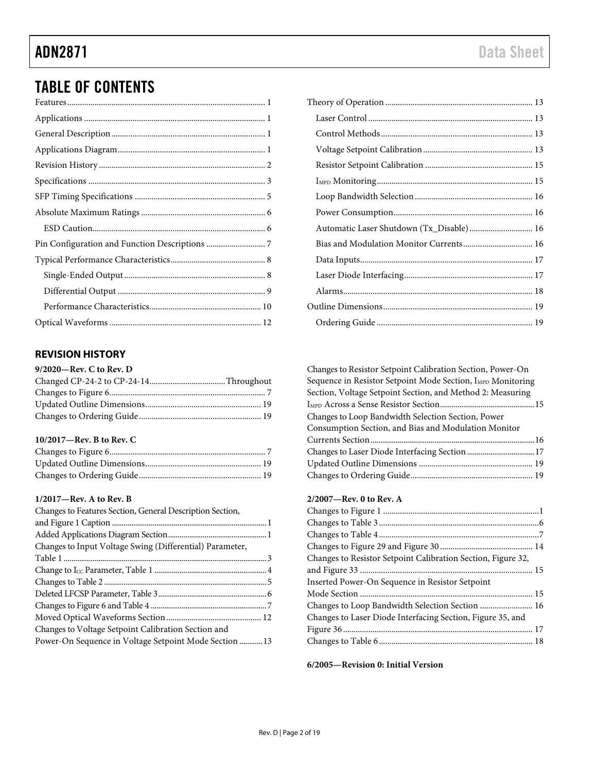# TABLE OF CONTENTS

# <span id="page-1-0"></span>**REVISION HISTORY**

| 9/2020-Rev. C to Rev. D |  |
|-------------------------|--|
|                         |  |
|                         |  |
|                         |  |
|                         |  |

#### **10/2017—Rev. B to Rev. C**

#### **1/2017—Rev. A to Rev. B**

| Changes to Features Section, General Description Section, |  |
|-----------------------------------------------------------|--|
|                                                           |  |
|                                                           |  |
| Changes to Input Voltage Swing (Differential) Parameter,  |  |
|                                                           |  |
|                                                           |  |
|                                                           |  |
|                                                           |  |
|                                                           |  |
|                                                           |  |
| Changes to Voltage Setpoint Calibration Section and       |  |
| Power-On Sequence in Voltage Setpoint Mode Section 13     |  |
|                                                           |  |

| Automatic Laser Shutdown (Tx_Disable) 16 |  |
|------------------------------------------|--|
| Bias and Modulation Monitor Currents 16  |  |
|                                          |  |
|                                          |  |
|                                          |  |
|                                          |  |
|                                          |  |

| Changes to Resistor Setpoint Calibration Section, Power-On              |  |
|-------------------------------------------------------------------------|--|
| Sequence in Resistor Setpoint Mode Section, I <sub>MPD</sub> Monitoring |  |
| Section, Voltage Setpoint Section, and Method 2: Measuring              |  |
|                                                                         |  |
| Changes to Loop Bandwidth Selection Section, Power                      |  |
| Consumption Section, and Bias and Modulation Monitor                    |  |
|                                                                         |  |
|                                                                         |  |
|                                                                         |  |
|                                                                         |  |
|                                                                         |  |

### **2/2007—Rev. 0 to Rev. A**

| Changes to Resistor Setpoint Calibration Section, Figure 32, |
|--------------------------------------------------------------|
|                                                              |
| Inserted Power-On Sequence in Resistor Setpoint              |
|                                                              |
| Changes to Loop Bandwidth Selection Section  16              |
| Changes to Laser Diode Interfacing Section, Figure 35, and   |
|                                                              |
|                                                              |

**6/2005—Revision 0: Initial Version**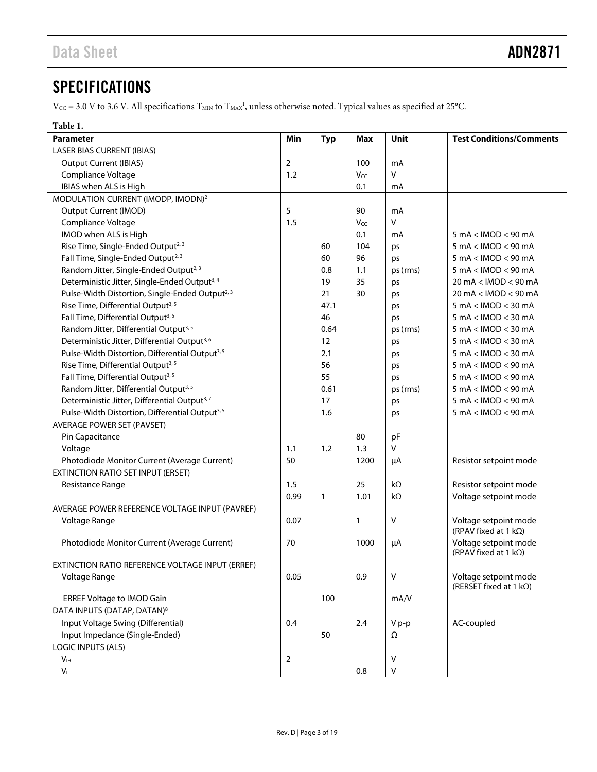# <span id="page-2-0"></span>**SPECIFICATIONS**

 $V_{\text{CC}}$  = 3.0 V to 3.6 V. All specifications  $T_{\text{MIN}}$  to  $T_{\text{MAX}}$ , unless otherwise noted. Typical values as specified at 25°C.

<span id="page-2-1"></span>

| Parameter                                                   | Min            | <b>Typ</b> | Max  | Unit      | <b>Test Conditions/Comments</b>              |
|-------------------------------------------------------------|----------------|------------|------|-----------|----------------------------------------------|
| <b>LASER BIAS CURRENT (IBIAS)</b>                           |                |            |      |           |                                              |
| <b>Output Current (IBIAS)</b>                               | 2              |            | 100  | mA        |                                              |
| Compliance Voltage                                          | 1.2            |            | Vcc  | V         |                                              |
| IBIAS when ALS is High                                      |                |            | 0.1  | mA        |                                              |
| MODULATION CURRENT (IMODP, IMODN) <sup>2</sup>              |                |            |      |           |                                              |
| <b>Output Current (IMOD)</b>                                | 5              |            | 90   | mA        |                                              |
| Compliance Voltage                                          | 1.5            |            | Vcc  | V         |                                              |
| IMOD when ALS is High                                       |                |            | 0.1  | mA        | $5 \text{ mA} < \text{IMOD} < 90 \text{ mA}$ |
| Rise Time, Single-Ended Output <sup>2, 3</sup>              |                | 60         | 104  | ps        | $5 \text{ mA} < \text{IMOD} < 90 \text{ mA}$ |
| Fall Time, Single-Ended Output <sup>2, 3</sup>              |                | 60         | 96   | ps        | $5 \text{ mA} < \text{IMOD} < 90 \text{ mA}$ |
| Random Jitter, Single-Ended Output <sup>2, 3</sup>          |                | 0.8        | 1.1  | ps (rms)  | $5 \text{ mA} < \text{IMOD} < 90 \text{ mA}$ |
| Deterministic Jitter, Single-Ended Output <sup>3,4</sup>    |                | 19         | 35   | ps        | 20 mA < IMOD < 90 mA                         |
| Pulse-Width Distortion, Single-Ended Output <sup>2, 3</sup> |                | 21         | 30   | ps        | 20 mA < IMOD < 90 mA                         |
| Rise Time, Differential Output <sup>3, 5</sup>              |                | 47.1       |      | ps        | $5 \text{ mA} < \text{IMOD} < 30 \text{ mA}$ |
| Fall Time, Differential Output <sup>3, 5</sup>              |                | 46         |      | ps        | $5 \text{ mA} < \text{IMOD} < 30 \text{ mA}$ |
| Random Jitter, Differential Output <sup>3,5</sup>           |                | 0.64       |      | ps (rms)  | $5 \text{ mA} < \text{IMOD} < 30 \text{ mA}$ |
| Deterministic Jitter, Differential Output <sup>3,6</sup>    |                | 12         |      | ps        | $5 \text{ mA} < \text{IMOD} < 30 \text{ mA}$ |
| Pulse-Width Distortion, Differential Output <sup>3, 5</sup> |                | 2.1        |      | ps        | $5 \text{ mA} < \text{IMOD} < 30 \text{ mA}$ |
| Rise Time, Differential Output <sup>3, 5</sup>              |                | 56         |      | ps        | $5 \text{ mA} < \text{IMOD} < 90 \text{ mA}$ |
| Fall Time, Differential Output <sup>3, 5</sup>              |                | 55         |      | ps        | $5 \text{ mA} < \text{IMOD} < 90 \text{ mA}$ |
| Random Jitter, Differential Output <sup>3, 5</sup>          |                | 0.61       |      | ps (rms)  | $5 \text{ mA} < \text{IMOD} < 90 \text{ mA}$ |
| Deterministic Jitter, Differential Output <sup>3,7</sup>    |                | 17         |      | ps        | 5 mA < IMOD < 90 mA                          |
| Pulse-Width Distortion, Differential Output <sup>3, 5</sup> |                | 1.6        |      | ps        | 5 mA < IMOD < 90 mA                          |
| <b>AVERAGE POWER SET (PAVSET)</b>                           |                |            |      |           |                                              |
| Pin Capacitance                                             |                |            | 80   | pF        |                                              |
| Voltage                                                     | 1.1            | 1.2        | 1.3  | v         |                                              |
| Photodiode Monitor Current (Average Current)                | 50             |            | 1200 | μA        | Resistor setpoint mode                       |
| <b>EXTINCTION RATIO SET INPUT (ERSET)</b>                   |                |            |      |           |                                              |
| Resistance Range                                            | 1.5            |            | 25   | $k\Omega$ | Resistor setpoint mode                       |
|                                                             | 0.99           | 1          | 1.01 | kΩ        | Voltage setpoint mode                        |
| AVERAGE POWER REFERENCE VOLTAGE INPUT (PAVREF)              |                |            |      |           |                                              |
| Voltage Range                                               | 0.07           |            | 1    | V         | Voltage setpoint mode                        |
|                                                             |                |            |      |           | (RPAV fixed at 1 $k\Omega$ )                 |
| Photodiode Monitor Current (Average Current)                | 70             |            | 1000 | μA        | Voltage setpoint mode                        |
|                                                             |                |            |      |           | (RPAV fixed at 1 $k\Omega$ )                 |
| EXTINCTION RATIO REFERENCE VOLTAGE INPUT (ERREF)            |                |            |      |           |                                              |
| Voltage Range                                               | 0.05           |            | 0.9  | V         | Voltage setpoint mode                        |
|                                                             |                |            |      |           | (RERSET fixed at 1 $k\Omega$ )               |
| <b>ERREF Voltage to IMOD Gain</b>                           |                | 100        |      | mA/V      |                                              |
| DATA INPUTS (DATAP, DATAN) <sup>8</sup>                     |                |            |      |           |                                              |
| Input Voltage Swing (Differential)                          | 0.4            |            | 2.4  | V p-p     | AC-coupled                                   |
| Input Impedance (Single-Ended)                              |                | 50         |      | Ω         |                                              |
| <b>LOGIC INPUTS (ALS)</b>                                   |                |            |      |           |                                              |
| V <sub>IH</sub>                                             | $\overline{2}$ |            |      | v         |                                              |
| $V_{\mathsf{IL}}$                                           |                |            | 0.8  | v         |                                              |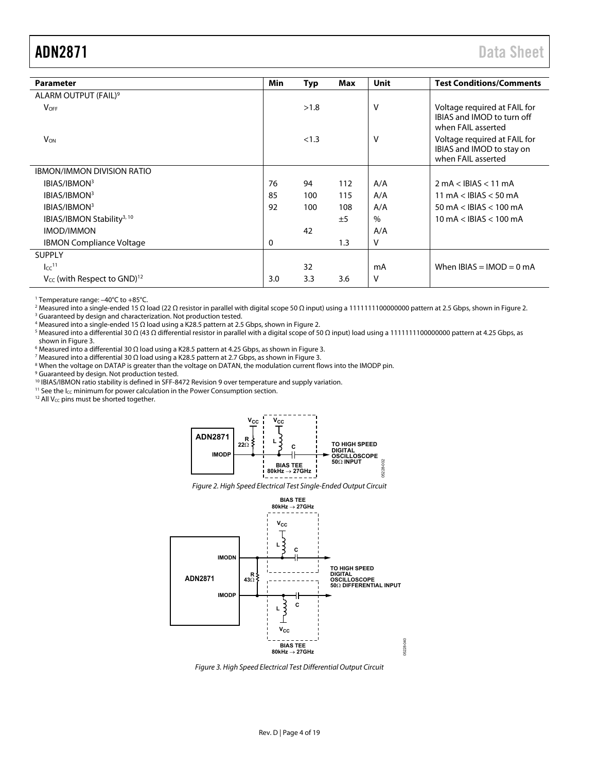<span id="page-3-0"></span>

| <b>Parameter</b>                             | Min | Typ   | Max | Unit | <b>Test Conditions/Comments</b>                                                  |
|----------------------------------------------|-----|-------|-----|------|----------------------------------------------------------------------------------|
| ALARM OUTPUT (FAIL) <sup>9</sup>             |     |       |     |      |                                                                                  |
| <b>VOFF</b>                                  |     | >1.8  |     | v    | Voltage required at FAIL for<br>IBIAS and IMOD to turn off<br>when FAIL asserted |
| <b>V<sub>ON</sub></b>                        |     | < 1.3 |     | v    | Voltage required at FAIL for<br>IBIAS and IMOD to stay on<br>when FAIL asserted  |
| <b>IBMON/IMMON DIVISION RATIO</b>            |     |       |     |      |                                                                                  |
| IBIAS/IBMON <sup>3</sup>                     | 76  | 94    | 112 | A/A  | $2 \text{ mA} < \text{IBIAS} < 11 \text{ mA}$                                    |
| IBIAS/IBMON <sup>3</sup>                     | 85  | 100   | 115 | A/A  | 11 mA $<$ IBIAS $<$ 50 mA                                                        |
| IBIAS/IBMON <sup>3</sup>                     | 92  | 100   | 108 | A/A  | 50 mA $<$ IBIAS $<$ 100 mA                                                       |
| IBIAS/IBMON Stability <sup>3, 10</sup>       |     |       | ±5  | $\%$ | $10 \text{ mA} <$ IBIAS $< 100 \text{ mA}$                                       |
| <b>IMOD/IMMON</b>                            |     | 42    |     | A/A  |                                                                                  |
| <b>IBMON Compliance Voltage</b>              | 0   |       | 1.3 | ν    |                                                                                  |
| <b>SUPPLY</b>                                |     |       |     |      |                                                                                  |
| $\text{Icc}^{11}$                            |     | 32    |     | mA   | When $IBIAS = IMOD = 0 mA$                                                       |
| $V_{CC}$ (with Respect to GND) <sup>12</sup> | 3.0 | 3.3   | 3.6 | ۷    |                                                                                  |

<sup>1</sup> Temperature range: –40°C to +85°C.<br><sup>2</sup> Measured into a single-ended 15 O k

<sup>2</sup> Measured into a single-ended 15 Ω load (22 Ω resistor in parallel with digital scope 50 Ω input) using a 1111111100000000 pattern at 2.5 Gbps, shown in Figure 2. <sup>3</sup> Guaranteed by design and characterization. Not production tested.

<sup>4</sup> Measured into a single-ended 15  $\Omega$  load using a K28.5 pattern at 2.5 Gbps, shown in Figure 2.

4 Measured into a single-ended 15 Ω load using a K28.5 pattern at 2.5 Gbps, shown in Figure 2.<br><sup>5</sup> Measured into a differential 30 Ω (43 Ω differential resistor in parallel with a digital scope of 50 Ω input) load using a shown i[n Figure 3.](#page-3-2) 

6 Measured into a differential 30 Ω load using a K28.5 pattern at 4.25 Gbps, as shown i[n Figure 3.](#page-3-2) 7

Measured into a differential 30 Ω load using a K28.5 pattern at 2.7 Gbps, as shown i[n Figure 3.](#page-3-2) 8

<sup>8</sup> When the voltage on DATAP is greater than the voltage on DATAN, the modulation current flows into the IMODP pin.

<sup>9</sup> Guaranteed by design. Not production tested.

<sup>10</sup> IBIAS/IBMON ratio stability is defined in SFF-8472 Revision 9 over temperature and supply variation.<br><sup>11</sup> See the I<sub>CC</sub> minimum for power calculation in th[e Power Consumption s](#page-15-1)ection. <sup>12</sup> All V<sub>CC</sub> pins must be shor

<span id="page-3-1"></span>



Figure 2. High Speed Electrical Test Single-Ended Output Circuit



<span id="page-3-2"></span>Figure 3. High Speed Electrical Test Differential Output Circuit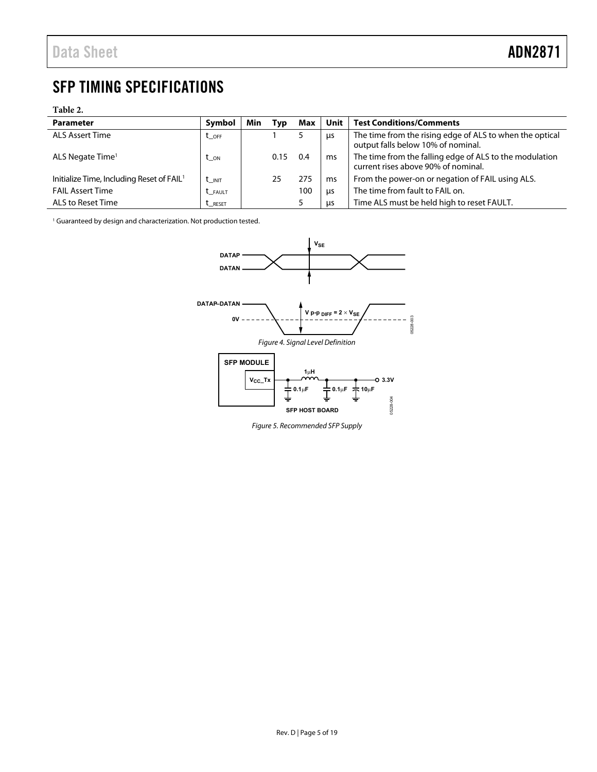# <span id="page-4-0"></span>SFP TIMING SPECIFICATIONS

#### **Table 2.**

| <b>Parameter</b>                                      | Symbol            | Min | Typ  | Max | Unit | <b>Test Conditions/Comments</b>                                                                |
|-------------------------------------------------------|-------------------|-----|------|-----|------|------------------------------------------------------------------------------------------------|
| <b>ALS Assert Time</b>                                | $t_{\rm OFF}$     |     |      |     | μs   | The time from the rising edge of ALS to when the optical<br>output falls below 10% of nominal. |
| ALS Negate Time <sup>1</sup>                          | $t_{ON}$          |     | 0.15 | 0.4 | ms   | The time from the falling edge of ALS to the modulation<br>current rises above 90% of nominal. |
| Initialize Time, Including Reset of FAIL <sup>1</sup> | $t_{\text{INIT}}$ |     | 25   | 275 | ms   | From the power-on or negation of FAIL using ALS.                                               |
| <b>FAIL Assert Time</b>                               | <b>t</b> _FAULT   |     |      | 100 | us   | The time from fault to FAIL on.                                                                |
| ALS to Reset Time                                     | L_RESET           |     |      |     | us   | Time ALS must be held high to reset FAULT.                                                     |

<sup>1</sup> Guaranteed by design and characterization. Not production tested.



Figure 5. Recommended SFP Supply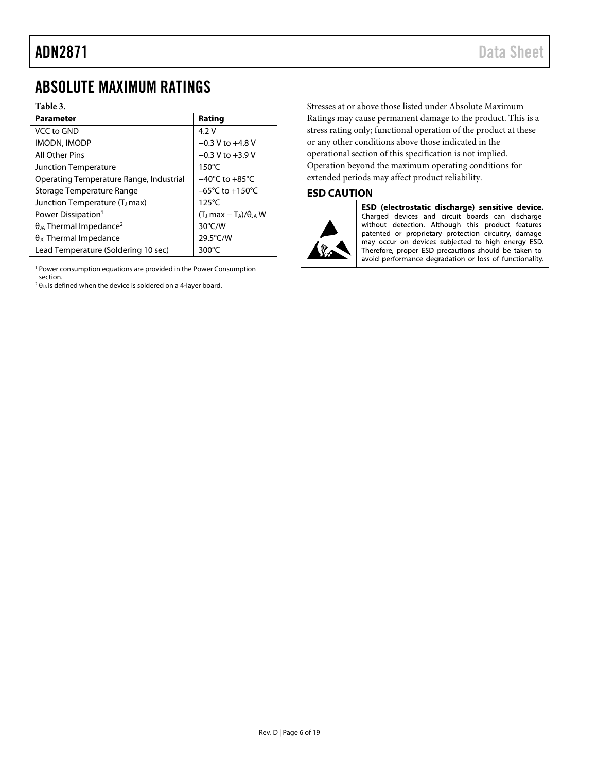# <span id="page-5-0"></span>ABSOLUTE MAXIMUM RATINGS

#### **Table 3.**

| <b>Parameter</b>                             | Rating                              |
|----------------------------------------------|-------------------------------------|
| VCC to GND                                   | 4.2 V                               |
| IMODN, IMODP                                 | $-0.3 V$ to $+4.8 V$                |
| All Other Pins                               | $-0.3 V$ to $+3.9 V$                |
| <b>Junction Temperature</b>                  | $150^{\circ}$ C                     |
| Operating Temperature Range, Industrial      | $-40^{\circ}$ C to $+85^{\circ}$ C  |
| Storage Temperature Range                    | $-65^{\circ}$ C to $+150^{\circ}$ C |
| Junction Temperature (T <sub>i</sub> max)    | $125^{\circ}$ C                     |
| Power Dissipation <sup>1</sup>               | $(T_J max - T_A)/\theta_{JA} W$     |
| $\theta_{JA}$ Thermal Impedance <sup>2</sup> | $30^{\circ}$ C/W                    |
| $\theta_{\text{JC}}$ Thermal Impedance       | 29.5°C/W                            |
| Lead Temperature (Soldering 10 sec)          | 300°C                               |

<sup>1</sup> Power consumption equations are provided in the Power Consumption section.

 $2 \theta_{JA}$  is defined when the device is soldered on a 4-layer board.

Stresses at or above those listed under Absolute Maximum Ratings may cause permanent damage to the product. This is a stress rating only; functional operation of the product at these or any other conditions above those indicated in the operational section of this specification is not implied. Operation beyond the maximum operating conditions for extended periods may affect product reliability.

#### <span id="page-5-1"></span>**ESD CAUTION**



ESD (electrostatic discharge) sensitive device. Charged devices and circuit boards can discharge without detection. Although this product features patented or proprietary protection circuitry, damage may occur on devices subjected to high energy ESD. Therefore, proper ESD precautions should be taken to avoid performance degradation or loss of functionality.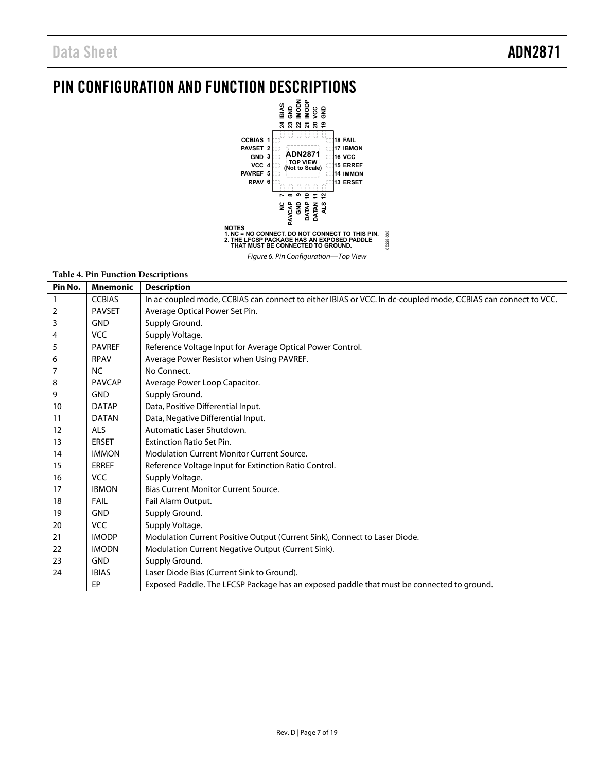# <span id="page-6-0"></span>PIN CONFIGURATION AND FUNCTION DESCRIPTIONS



#### Figure 6. Pin Configuration—Top View

#### **Table 4. Pin Function Descriptions**

| Pin No. | <b>Mnemonic</b> | <b>Description</b>                                                                                            |  |  |
|---------|-----------------|---------------------------------------------------------------------------------------------------------------|--|--|
| 1       | <b>CCBIAS</b>   | In ac-coupled mode, CCBIAS can connect to either IBIAS or VCC. In dc-coupled mode, CCBIAS can connect to VCC. |  |  |
| 2       | <b>PAVSET</b>   | Average Optical Power Set Pin.                                                                                |  |  |
| 3       | <b>GND</b>      | Supply Ground.                                                                                                |  |  |
| 4       | <b>VCC</b>      | Supply Voltage.                                                                                               |  |  |
| 5       | <b>PAVREF</b>   | Reference Voltage Input for Average Optical Power Control.                                                    |  |  |
| 6       | <b>RPAV</b>     | Average Power Resistor when Using PAVREF.                                                                     |  |  |
| 7       | <b>NC</b>       | No Connect.                                                                                                   |  |  |
| 8       | <b>PAVCAP</b>   | Average Power Loop Capacitor.                                                                                 |  |  |
| 9       | <b>GND</b>      | Supply Ground.                                                                                                |  |  |
| 10      | <b>DATAP</b>    | Data, Positive Differential Input.                                                                            |  |  |
| 11      | <b>DATAN</b>    | Data, Negative Differential Input.                                                                            |  |  |
| 12      | <b>ALS</b>      | Automatic Laser Shutdown.                                                                                     |  |  |
| 13      | <b>ERSET</b>    | <b>Extinction Ratio Set Pin.</b>                                                                              |  |  |
| 14      | <b>IMMON</b>    | <b>Modulation Current Monitor Current Source.</b>                                                             |  |  |
| 15      | <b>ERREF</b>    | Reference Voltage Input for Extinction Ratio Control.                                                         |  |  |
| 16      | <b>VCC</b>      | Supply Voltage.                                                                                               |  |  |
| 17      | <b>IBMON</b>    | <b>Bias Current Monitor Current Source.</b>                                                                   |  |  |
| 18      | FAIL            | Fail Alarm Output.                                                                                            |  |  |
| 19      | <b>GND</b>      | Supply Ground.                                                                                                |  |  |
| 20      | <b>VCC</b>      | Supply Voltage.                                                                                               |  |  |
| 21      | <b>IMODP</b>    | Modulation Current Positive Output (Current Sink), Connect to Laser Diode.                                    |  |  |
| 22      | <b>IMODN</b>    | Modulation Current Negative Output (Current Sink).                                                            |  |  |
| 23      | <b>GND</b>      | Supply Ground.                                                                                                |  |  |
| 24      | <b>IBIAS</b>    | Laser Diode Bias (Current Sink to Ground).                                                                    |  |  |
|         | EP              | Exposed Paddle. The LFCSP Package has an exposed paddle that must be connected to ground.                     |  |  |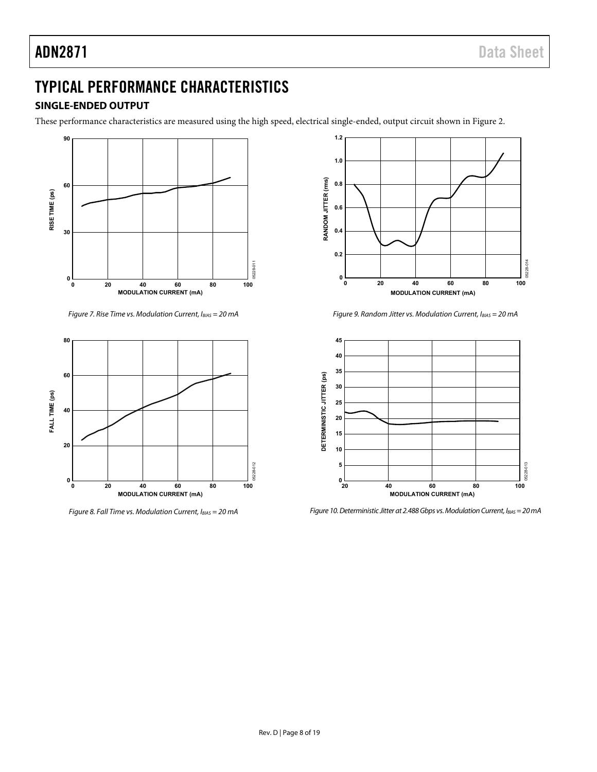# <span id="page-7-0"></span>TYPICAL PERFORMANCE CHARACTERISTICS

## <span id="page-7-1"></span>**SINGLE-ENDED OUTPUT**

These performance characteristics are measured using the high speed, electrical single-ended, output circuit shown i[n Figure 2.](#page-3-1)



Figure 7. Rise Time vs. Modulation Current,  $I_{BIAS} = 20$  mA



Figure 8. Fall Time vs. Modulation Current,  $I_{BIAS} = 20$  mA



Figure 9. Random Jitter vs. Modulation Current,  $I_{BIAS} = 20$  mA



Figure 10. Deterministic Jitter at 2.488 Gbps vs. Modulation Current,  $I_{BIAS} = 20$  mA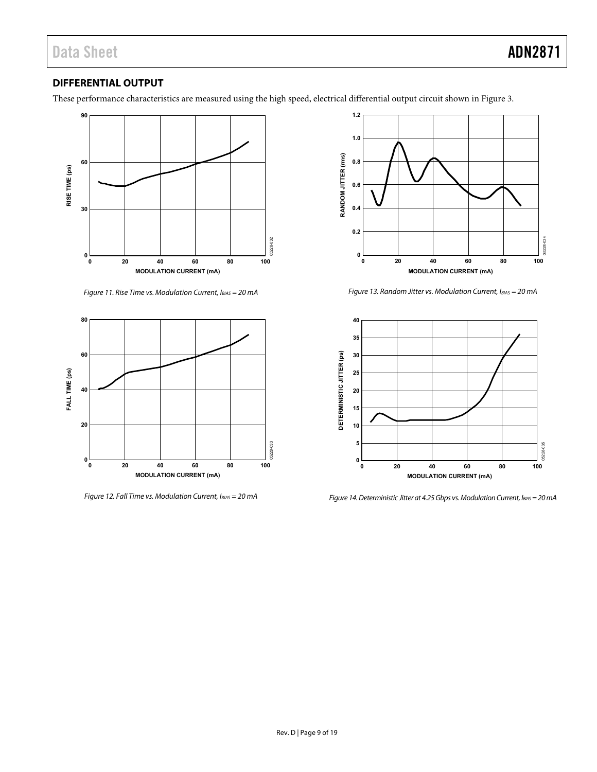## <span id="page-8-0"></span>**DIFFERENTIAL OUTPUT**

These performance characteristics are measured using the high speed, electrical differential output circuit shown i[n Figure 3.](#page-3-2)



Figure 11. Rise Time vs. Modulation Current,  $I_{BIAS} = 20$  mA



Figure 12. Fall Time vs. Modulation Current,  $I_{BIAS} = 20$  mA



Figure 13. Random Jitter vs. Modulation Current,  $I_{BIAS} = 20$  mA



Figure 14. Deterministic Jitter at 4.25 Gbps vs. Modulation Current, IBIAS = 20 mA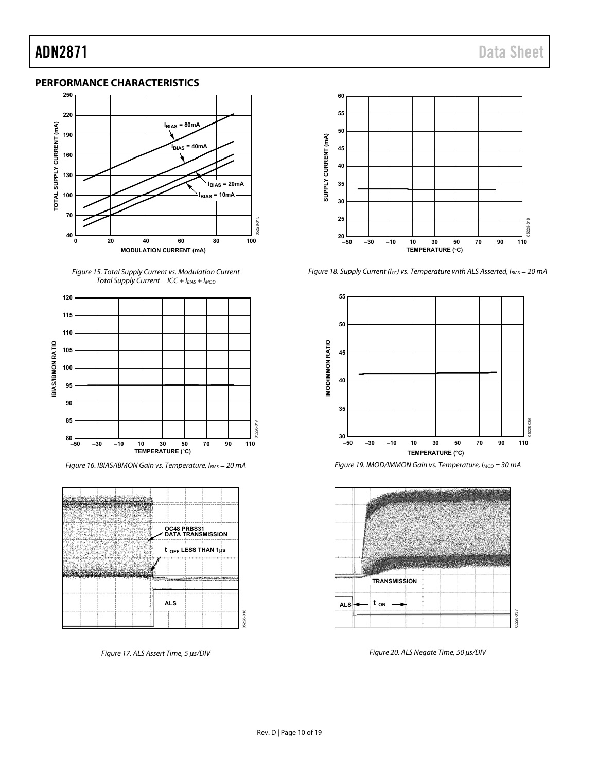## <span id="page-9-0"></span>**PERFORMANCE CHARACTERISTICS**



Figure 15. Total Supply Current vs. Modulation Current Total Supply Current =  $ICC + I_{BIAS} + I_{MOD}$ 



Figure 16. IBIAS/IBMON Gain vs. Temperature, IBIAS = 20 mA



Figure 17. ALS Assert Time, 5 μs/DIV



Figure 18. Supply Current (Icc) vs. Temperature with ALS Asserted,  $I_{BIAS} = 20$  mA



Figure 19. IMOD/IMMON Gain vs. Temperature, I<sub>MOD</sub> = 30 mA



Figure 20. ALS Negate Time, 50 μs/DIV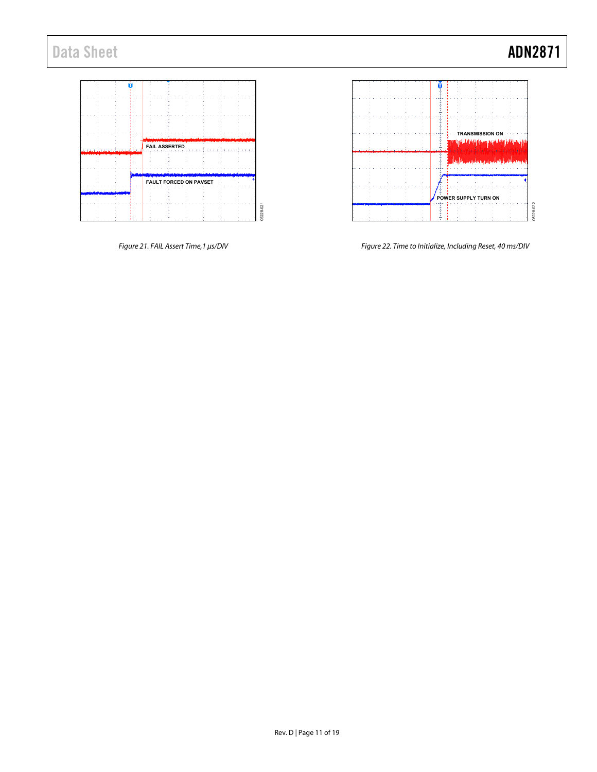# Data Sheet **ADN2871**





Figure 21. FAIL Assert Time,1 μs/DIV

Figure 22. Time to Initialize, Including Reset, 40 ms/DIV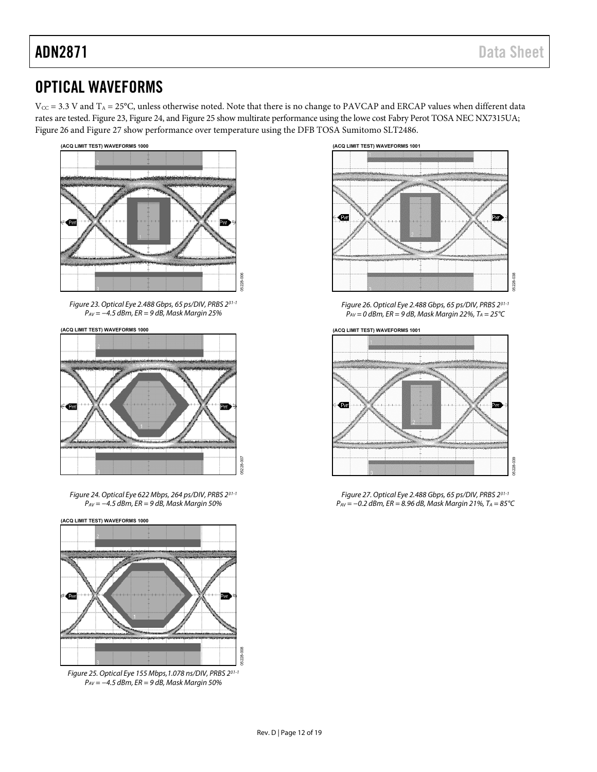# <span id="page-11-0"></span>OPTICAL WAVEFORMS

 $V_{CC}$  = 3.3 V and  $T_A$  = 25°C, unless otherwise noted. Note that there is no change to PAVCAP and ERCAP values when different data rates are [tested. Figu](#page-11-1)[re 23, Figu](#page-11-2)re 2[4, and Figu](#page-11-3)re 25 show multirate performance using the lowe cost Fabry Perot TOSA NEC NX7[315UA;](#page-11-4)  Fig[ure 26 and F](#page-11-5)igure 27 show performance over temperature using the DFB TOSA Sumitomo SLT2486.



<span id="page-11-1"></span>Figure 23. Optical Eye 2.488 Gbps, 65 ps/DIV, PRBS 231-1  $P_{AV} = -4.5$  dBm, ER = 9 dB, Mask Margin 25%

**(ACQ LIMIT TEST) WAVEFORMS 1000**



<span id="page-11-2"></span>Figure 24. Optical Eye 622 Mbps, 264 ps/DIV, PRBS 231-1  $P_{AV} = -4.5$  dBm, ER = 9 dB, Mask Margin 50%

05228-007

05228-008



<span id="page-11-3"></span>Figure 25. Optical Eye 155 Mbps,1.078 ns/DIV, PRBS 231-1  $P_{AV} = -4.5$  dBm, ER = 9 dB, Mask Margin 50%



Figure 26. Optical Eye 2.488 Gbps, 65 ps/DIV, PRBS 231-1  $P_{AV} = 0$  dBm, ER = 9 dB, Mask Margin 22%, T<sub>A</sub> = 25°C

<span id="page-11-4"></span>

<span id="page-11-5"></span>Figure 27. Optical Eye 2.488 Gbps, 65 ps/DIV, PRBS 231-1  $P_{AV}$  = −0.2 dBm, ER = 8.96 dB, Mask Margin 21%, T<sub>A</sub> = 85°C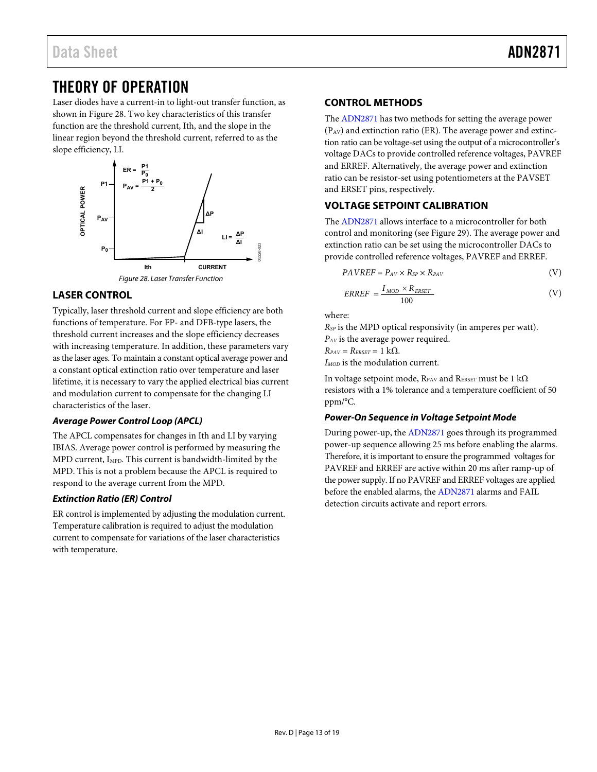# <span id="page-12-0"></span>THEORY OF OPERATION

Laser diodes have a current-in to light-out transfer function, as shown in [Figure 28.](#page-12-4) Two key characteristics of this transfer function are the threshold current, Ith, and the slope in the linear region beyond the threshold current, referred to as the slope efficiency, LI.



## <span id="page-12-4"></span><span id="page-12-1"></span>**LASER CONTROL**

Typically, laser threshold current and slope efficiency are both functions of temperature. For FP- and DFB-type lasers, the threshold current increases and the slope efficiency decreases with increasing temperature. In addition, these parameters vary as the laser ages. To maintain a constant optical average power and a constant optical extinction ratio over temperature and laser lifetime, it is necessary to vary the applied electrical bias current and modulation current to compensate for the changing LI characteristics of the laser.

### **Average Power Control Loop (APCL)**

The APCL compensates for changes in Ith and LI by varying IBIAS. Average power control is performed by measuring the MPD current, IMPD. This current is bandwidth-limited by the MPD. This is not a problem because the APCL is required to respond to the average current from the MPD.

## **Extinction Ratio (ER) Control**

ER control is implemented by adjusting the modulation current. Temperature calibration is required to adjust the modulation current to compensate for variations of the laser characteristics with temperature.

## <span id="page-12-2"></span>**CONTROL METHODS**

The [ADN2871 h](http://www.analog.com/ADN2871?doc=ADN2871.pdf)as two methods for setting the average power  $(P_{AV})$  and extinction ratio (ER). The average power and extinction ratio can be voltage-set using the output of a microcontroller's voltage DACs to provide controlled reference voltages, PAVREF and ERREF. Alternatively, the average power and extinction ratio can be resistor-set using potentiometers at the PAVSET and ERSET pins, respectively.

## <span id="page-12-3"></span>**VOLTAGE SETPOINT CALIBRATION**

The [ADN2871 a](http://www.analog.com/ADN2871?doc=ADN2871.pdf)llows interface to a microcontroller for both control and monitoring (se[e Figure 29\)](#page-13-0). The average power and extinction ratio can be set using the microcontroller DACs to provide controlled reference voltages, PAVREF and ERREF.

$$
PAVREF = P_{AV} \times R_{SP} \times R_{PAV}
$$
 (V)

$$
ERREF = \frac{I_{MOD} \times R_{ERSET}}{100}
$$
 (V)

where:

*RSP* is the MPD optical responsivity (in amperes per watt). *P<sub>AV</sub>* is the average power required.  $R_{PAV} = R_{ERSET} = 1 \text{ k}\Omega.$ *I<sub>MOD</sub>* is the modulation current.

In voltage setpoint mode, RPAV and RERSET must be 1 k $\Omega$ resistors with a 1% tolerance and a temperature coefficient of 50 ppm/°C.

### **Power-On Sequenc[e in Voltag](http://www.analog.com/ADN2871?doc=ADN2871.pdf)e Setpoint Mode**

During power-up, the ADN2871 goes through its programmed power-up sequence allowing 25 ms before enabling the alarms. Therefore, it is important to ensure the programmed voltages for PAVREF and ERREF are active within 20 ms after ramp-up of the power supply. If no PAVR[EF and ERRE](http://www.analog.com/ADN2871?doc=ADN2871.pdf)F voltages are applied before the enabled alarms, the ADN2871 alarms and FAIL detection circuits activate and report errors.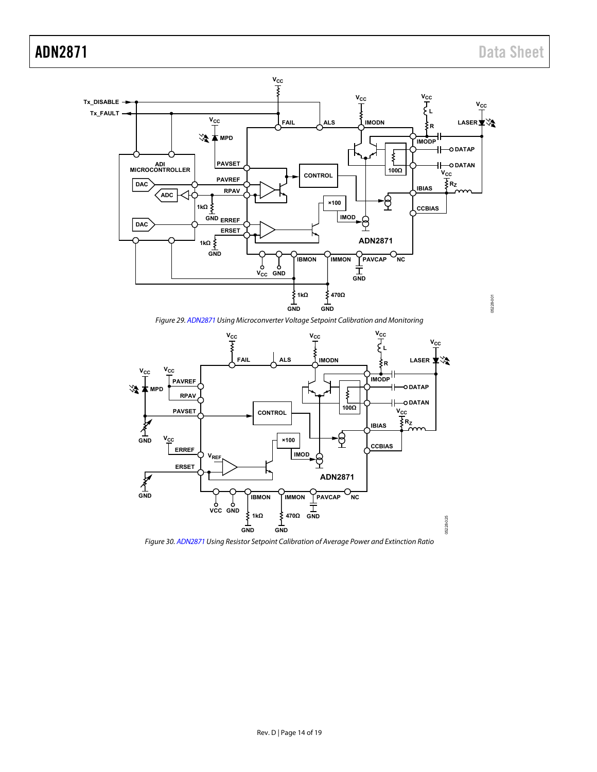

Figure 29[. ADN2871 U](http://www.analog.com/ADN2871?doc=ADN2871.pdf)sing Microconverter Voltage Setpoint Calibration and Monitoring

<span id="page-13-0"></span>

<span id="page-13-1"></span>Figure 30[. ADN2871 U](http://www.analog.com/ADN2871?doc=ADN2871.pdf)sing Resistor Setpoint Calibration of Average Power and Extinction Ratio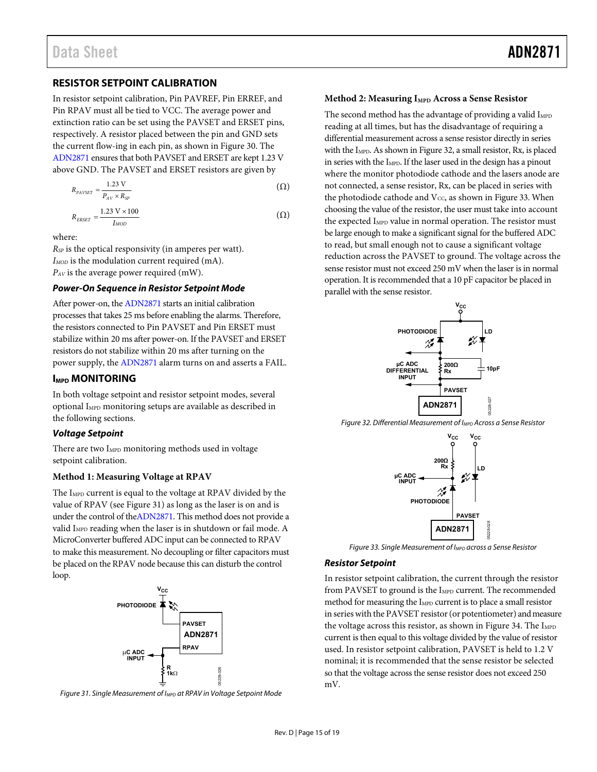#### <span id="page-14-0"></span>**RESISTOR SETPOINT CALIBRATION**

In resistor setpoint calibration, Pin PAVREF, Pin ERREF, and Pin RPAV must all be tied to VCC. The average power and extinction ratio can be set using the PAVSET and ERSET pins, respectively. A resistor placed between the pin and GND sets the current flow-ing in each pin, as shown i[n Figure 30.](#page-13-1) The [ADN2871 e](http://www.analog.com/ADN2871?doc=ADN2871.pdf)nsures that both PAVSET and ERSET are kept 1.23 V above GND. The PAVSET and ERSET resistors are given by

$$
R_{PAVSET} = \frac{1.23 \text{ V}}{P_{AV} \times R_{SP}} \tag{ \Omega}
$$

$$
R_{ERSET} = \frac{1.23 \text{ V} \times 100}{I_{MOD}} \tag{ \Omega}
$$

where:

*RSP* is the optical responsivity (in amperes per watt). *I<sub>MOD</sub>* is the modulation current required (mA). *PAV* is the average power required (mW).

#### **Power-On Sequence in Resistor Setpoint Mode**

After power-on, th[e ADN2871](http://www.analog.com/ADN2871?doc=ADN2871.pdf) starts an initial calibration processes that takes 25 ms before enabling the alarms. Therefore, the resistors connected to Pin PAVSET and Pin ERSET must stabilize within 20 ms after power-on. If the PAVSET and ERSET resistors do not stabilize within 20 ms after turning on the power supply, the [ADN2871 a](http://www.analog.com/ADN2871?doc=ADN2871.pdf)larm turns on and asserts a FAIL.

#### <span id="page-14-1"></span>**IMPD MONITORING**

In both voltage setpoint and resistor setpoint modes, several optional I<sub>MPD</sub> monitoring setups are available as described in the following sections.

#### **Voltage Setpoint**

There are two I<sub>MPD</sub> monitoring methods used in voltage setpoint calibration.

#### **Method 1: Measuring Voltage at RPAV**

The I<sub>MPD</sub> current is equal to the voltage at RPAV divided by the value of RPAV (se[e Figure 31\)](#page-14-2) as long as the laser is on and is under the control of th[eADN2871.](http://www.analog.com/ADN2871?doc=ADN2871.pdf) This method does not provide a valid I<sub>MPD</sub> reading when the laser is in shutdown or fail mode. A MicroConverter buffered ADC input can be connected to RPAV to make this measurement. No decoupling or filter capacitors must be placed on the RPAV node because this can disturb the control loop.



<span id="page-14-2"></span>Figure 31. Single Measurement of I<sub>MPD</sub> at RPAV in Voltage Setpoint Mode

#### **Method 2: Measuring I<sub>MPD</sub> Across a Sense Resistor**

The second method has the advantage of providing a valid  $I_{MPD}$ reading at all times, but has the disadvantage of requiring a differential measurement [across a sen](#page-14-3)se resistor directly in series with the I<sub>MPD</sub>. As shown in Figure 32, a small resistor, Rx, is placed in series with the I<sub>MPD</sub>. If the laser used in the design has a pinout where the monitor photodiode cathode and the lasers anode are not connected, a sense resistor, Rx, can be placed in series with the photodiode cathode and  $V_{CC}$ , as shown i[n Figure 33.](#page-14-4) When choosing the value of the resistor, the user must take into account the expected I<sub>MPD</sub> value in normal operation. The resistor must be large enough to make a significant signal for the buffered ADC to read, but small enough not to cause a significant voltage reduction across the PAVSET to ground. The voltage across the sense resistor must not exceed 250 mV when the laser is in normal operation. It is recommended that a 10 pF capacitor be placed in parallel with the sense resistor.



<span id="page-14-3"></span>Figure 32. Differential Measurement of I<sub>MPD</sub> Across a Sense Resistor



<span id="page-14-4"></span>Figure 33. Single Measurement of I<sub>MPD</sub> across a Sense Resistor

#### **Resistor Setpoint**

In resistor setpoint calibration, the current through the resistor from PAVSET to ground is the I<sub>MPD</sub> current. The recommended method for measuring the I<sub>MPD</sub> current is to place a small resistor in series with the PAVSET resistor (or potentiometer) and measure the voltage across this resistor, as shown i[n Figure 34.](#page-15-4) The  $I_{MPD}$ current is then equal to this voltage divided by the value of resistor used. In resistor setpoint calibration, PAVSET is held to 1.2 V nominal; it is recommended that the sense resistor be selected so that the voltage across the sense resistor does not exceed 250 mV.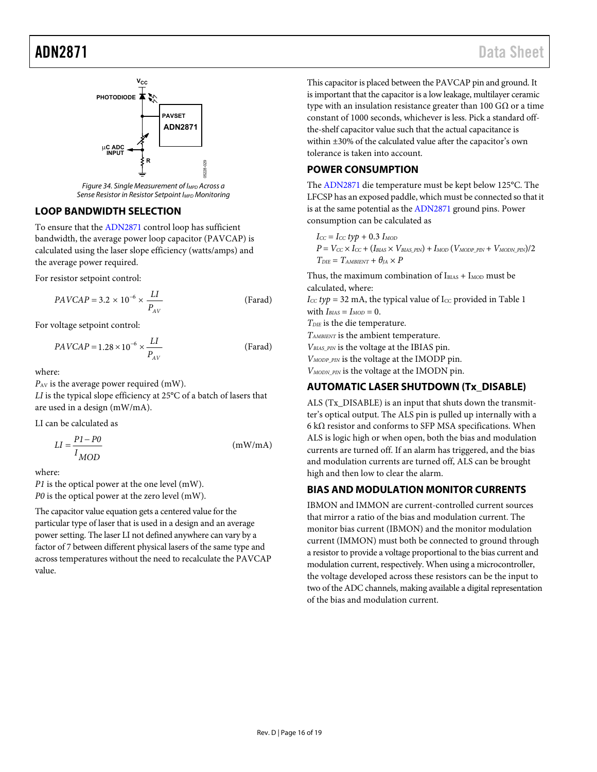

Figure 34. Single Measurement of I<sub>MPD</sub> Across a Sense Resistor in Resistor Setpoint I<sub>MPD</sub> Monitoring

#### <span id="page-15-4"></span><span id="page-15-0"></span>**LOOP BANDWIDTH SELECTION**

To ensure that th[e ADN2871](http://www.analog.com/ADN2871?doc=ADN2871.pdf) control loop has sufficient bandwidth, the average power loop capacitor (PAVCAP) is calculated using the laser slope efficiency (watts/amps) and the average power required.

For resistor setpoint control:

$$
PAVCAP = 3.2 \times 10^{-6} \times \frac{LI}{P_{AV}}
$$
 (Farad)

For voltage setpoint control:

$$
PAVCAP = 1.28 \times 10^{-6} \times \frac{LI}{P_{AV}}
$$
 (Farad)

where:

*P<sub>AV</sub>* is the average power required (mW).

*LI* is the typical slope efficiency at 25°C of a batch of lasers that are used in a design (mW/mA).

LI can be calculated as

$$
LI = \frac{P1 - P0}{I_{MOD}} \tag{mW/mA}
$$

where:

*P1* is the optical power at the one level (mW). *P0* is the optical power at the zero level (mW).

The capacitor value equation gets a centered value for the particular type of laser that is used in a design and an average power setting. The laser LI not defined anywhere can vary by a factor of 7 between different physical lasers of the same type and across temperatures without the need to recalculate the PAVCAP value.

This capacitor is placed between the PAVCAP pin and ground. It is important that the capacitor is a low leakage, multilayer ceramic type with an insulation resistance greater than 100  $G\Omega$  or a time constant of 1000 seconds, whichever is less. Pick a standard offthe-shelf capacitor value such that the actual capacitance is within ±30% of the calculated value after the capacitor's own tolerance is taken into account.

## <span id="page-15-1"></span>**POWER CONSUMPTION**

The [ADN2871 d](http://www.analog.com/ADN2871?doc=ADN2871.pdf)ie temperature must be kept below 125°C. The LFCSP has an exposed paddle, which must be connected so that it is at the same potential as th[e ADN2871](http://www.analog.com/ADN2871?doc=ADN2871.pdf) ground pins. Power consumption can be calculated as

 $I_{CC} = I_{CC} typ + 0.3 I_{MOD}$  $P = V_{CC} \times I_{CC} + (I_{BIAS} \times V_{BIAS-PIN}) + I_{MOD} (V_{MODP-PIN} + V_{MODN-PIN})/2$  $T_{DIF} = T_{AMBIENT} + \theta_{IA} \times P$ 

Thus, the maximum combination of  $I_{BIAS} + I_{MOD}$  must be calculated, where:

 $I_{CC}$  typ = 32 mA, the typical value of  $I_{CC}$  provided in Table 1 with  $I_{BIAS} = I_{MOD} = 0$ . *TDIE* is the die temperature.

*TAMBIENT* is the ambient temperature.

 $V_{BIAS-PIN}$  is the voltage at the IBIAS pin.

*VMODP\_PIN* is the voltage at the IMODP pin.

*VMODN\_PIN* is the voltage at the IMODN pin.

## <span id="page-15-2"></span>**AUTOMATIC LASER SHUTDOWN (Tx\_DISABLE)**

ALS (Tx\_DISABLE) is an input that shuts down the transmitter's optical output. The ALS pin is pulled up internally with a 6 kΩ resistor and conforms to SFP MSA specifications. When ALS is logic high or when open, both the bias and modulation currents are turned off. If an alarm has triggered, and the bias and modulation currents are turned off, ALS can be brought high and then low to clear the alarm.

## <span id="page-15-3"></span>**BIAS AND MODULATION MONITOR CURRENTS**

IBMON and IMMON are current-controlled current sources that mirror a ratio of the bias and modulation current. The monitor bias current (IBMON) and the monitor modulation current (IMMON) must both be connected to ground through a resistor to provide a voltage proportional to the bias current and modulation current, respectively. When using a microcontroller, the voltage developed across these resistors can be the input to two of the ADC channels, making available a digital representation of the bias and modulation current.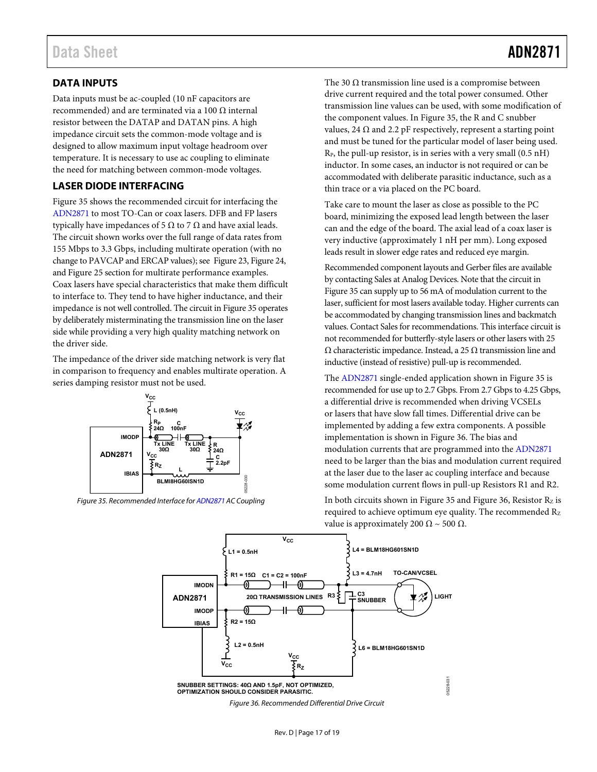## <span id="page-16-1"></span>**DATA INPUTS**

Data inputs must be ac-coupled (10 nF capacitors are recommended) and are terminated via a 100 Ω internal resistor between the DATAP and DATAN pins. A high impedance circuit sets the common-mode voltage and is designed to allow maximum input voltage headroom over temperature. It is necessary to use ac coupling to eliminate the need for matching between common-mode voltages.

## <span id="page-16-2"></span>**LASER DIODE INTERFACING**

[Figure 35](#page-16-3) shows the recommended circuit for interfacing the [ADN2871 t](http://www.analog.com/ADN2871?doc=ADN2871.pdf)o most TO-Can or coax lasers. DFB and FP lasers typically have impedances of 5 Ω to 7  $Ω$  and have axial leads. The circuit shown works over the full range of data rates from 155 Mbps to 3.3 Gbps, including multirate operation (with no change to PAVCAP and ERCAP values); se[e Figure 23](#page-11-1)[, Figure 24](#page-11-2), an[d Figure 25](#page-11-3) section for multirate performance examples. Coax lasers have special characteristics that make them difficult to interface to. They tend to have higher inductance, and their impedance is not well controlled. The circuit i[n Figure 35](#page-16-3) operates by deliberately misterminating the transmission line on the laser side while providing a very high quality matching network on the driver side.

The impedance of the driver side matching network is very flat in comparison to frequency and enables multirate operation. A series damping resistor must not be used.



<span id="page-16-3"></span><span id="page-16-0"></span>Figure 35. Recommended Interface fo[r ADN2871 A](http://www.analog.com/ADN2871?doc=ADN2871.pdf)C Coupling

The 30  $\Omega$  transmission line used is a compromise between drive current required and the total power consumed. Other transmission line values can be used, with some modification of the component values. I[n Figure 35,](#page-16-3) the R and C snubber values, 24  $\Omega$  and 2.2 pF respectively, represent a starting point and must be tuned for the particular model of laser being used.  $R_P$ , the pull-up resistor, is in series with a very small  $(0.5 \text{ nH})$ inductor. In some cases, an inductor is not required or can be accommodated with deliberate parasitic inductance, such as a thin trace or a via placed on the PC board.

Take care to mount the laser as close as possible to the PC board, minimizing the exposed lead length between the laser can and the edge of the board. The axial lead of a coax laser is very inductive (approximately 1 nH per mm). Long exposed leads result in slower edge rates and reduced eye margin.

Recommended component layouts and Gerber files are available by contacting Sales at Analog Devices. Note that the circuit in [Figure 35](#page-16-3) can supply up to 56 mA of modulation current to the laser, sufficient for most lasers available today. Higher currents can be accommodated by changing transmission lines and backmatch values. Contact Sales for recommendations. This interface circuit is not recommended for butterfly-style lasers or other lasers with 25 Ω characteristic impedance. Instead, a 25 Ω transmission line and inductive (instead of resistive) pull-up is recommended.

The [ADN2871 s](http://www.analog.com/ADN2871?doc=ADN2871.pdf)ingle-ended application shown i[n Figure 35](#page-16-3) is recommended for use up to 2.7 Gbps. From 2.7 Gbps to 4.25 Gbps, a differential drive is recommended when driving VCSELs or lasers that have slow fall times. Differential drive can be implemented by adding a few extra components. A possible implementation is shown i[n Figure 36.](#page-16-0) The bias and modulation currents that are programmed into th[e ADN2871](http://www.analog.com/ADN2871?doc=ADN2871.pdf) need to be larger than the bias and modulation current required at the laser due to the laser ac coupling interface and because some modulation current flows in pull-up Resistors R1 and R2.

In both circuits shown i[n Figure 35](#page-16-3) an[d Figure 36,](#page-16-0) Resistor  $R_z$  is required to achieve optimum eye quality. The recommended Rz value is approximately 200 Ω ~ 500 Ω.



Rev. D | Page 17 of 19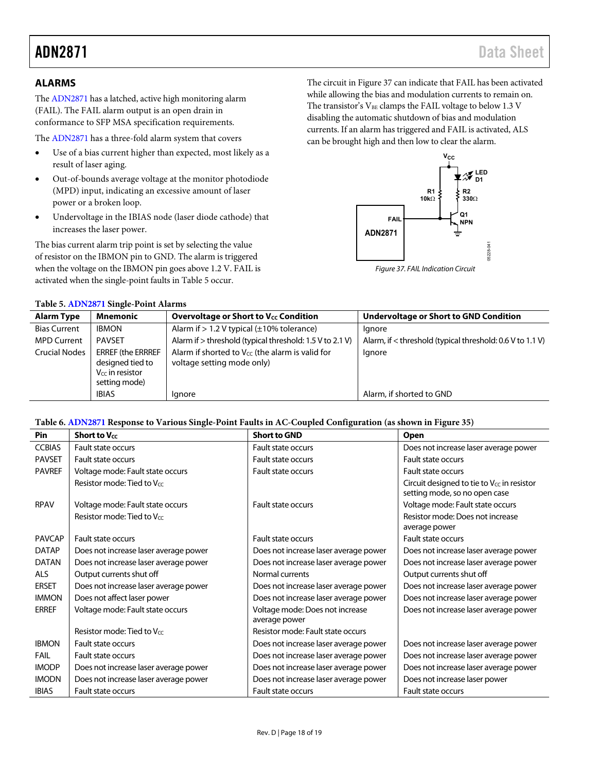#### <span id="page-17-0"></span>**ALARMS**

Th[e ADN2871](http://www.analog.com/ADN2871?doc=ADN2871.pdf) has a latched, active high monitoring alarm (FAIL). The FAIL alarm output is an open drain in conformance to SFP MSA specification requirements.

The [ADN2871 h](http://www.analog.com/ADN2871?doc=ADN2871.pdf)as a three-fold alarm system that covers

- Use of a bias current higher than expected, most likely as a result of laser aging.
- Out-of-bounds average voltage at the monitor photodiode (MPD) input, indicating an excessive amount of laser power or a broken loop.
- Undervoltage in the IBIAS node (laser diode cathode) that increases the laser power.

The bias current alarm trip point is set by selecting the value of resistor on the IBMON pin to GND. The alarm is triggered when the voltage on the IBMON pin goes above 1.2 V. FAIL is activated when the single-point faults i[n Table 5](#page-17-1) occur.

<span id="page-17-1"></span>**Table 5[. ADN2871](http://www.analog.com/ADN2871?doc=ADN2871.pdf) Single-Point Alarms** 

The circuit i[n Figure 37](#page-17-2) can indicate that FAIL has been activated while allowing the bias and modulation currents to remain on. The transistor's  $V_{BE}$  clamps the FAIL voltage to below 1.3 V disabling the automatic shutdown of bias and modulation currents. If an alarm has triggered and FAIL is activated, ALS can be brought high and then low to clear the alarm.



<span id="page-17-2"></span>Figure 37. FAIL Indication Circuit

| <b>Alarm Type</b>    | Mnemonic                                                                              | <b>Overvoltage or Short to Vcc Condition</b>                                              | <b>Undervoltage or Short to GND Condition</b>             |
|----------------------|---------------------------------------------------------------------------------------|-------------------------------------------------------------------------------------------|-----------------------------------------------------------|
| <b>Bias Current</b>  | <b>IBMON</b>                                                                          | Alarm if $> 1.2$ V typical ( $\pm 10$ % tolerance)                                        | lgnore                                                    |
| <b>MPD Current</b>   | PAVSET                                                                                | Alarm if > threshold (typical threshold: 1.5 V to 2.1 V)                                  | Alarm, if < threshold (typical threshold: 0.6 V to 1.1 V) |
| <b>Crucial Nodes</b> | <b>ERREF (the ERRREF</b><br>designed tied to<br>$V_{CC}$ in resistor<br>setting mode) | Alarm if shorted to V <sub>CC</sub> (the alarm is valid for<br>voltage setting mode only) | Ignore                                                    |
|                      | <b>IBIAS</b>                                                                          | lgnore                                                                                    | Alarm, if shorted to GND                                  |
|                      |                                                                                       |                                                                                           |                                                           |

#### **Table 6[. ADN2871](http://www.analog.com/ADN2871?doc=ADN2871.pdf) Response to Various Single-Point Faults in AC-Coupled Configuration (as shown i[n Figure 35\)](#page-16-3)**

| Pin           | <b>Short to Vcc</b>                   | <b>Short to GND</b>                   | Open                                                                                    |
|---------------|---------------------------------------|---------------------------------------|-----------------------------------------------------------------------------------------|
| <b>CCBIAS</b> | Fault state occurs                    | Fault state occurs                    | Does not increase laser average power                                                   |
| <b>PAVSET</b> | Fault state occurs                    | Fault state occurs                    | Fault state occurs                                                                      |
| <b>PAVREF</b> | Voltage mode: Fault state occurs      | Fault state occurs                    | Fault state occurs                                                                      |
|               | Resistor mode: Tied to Vcc            |                                       | Circuit designed to tie to V <sub>cc</sub> in resistor<br>setting mode, so no open case |
| <b>RPAV</b>   | Voltage mode: Fault state occurs      | Fault state occurs                    | Voltage mode: Fault state occurs                                                        |
|               | Resistor mode: Tied to Vcc            |                                       | Resistor mode: Does not increase<br>average power                                       |
| <b>PAVCAP</b> | Fault state occurs                    | Fault state occurs                    | Fault state occurs                                                                      |
| <b>DATAP</b>  | Does not increase laser average power | Does not increase laser average power | Does not increase laser average power                                                   |
| <b>DATAN</b>  | Does not increase laser average power | Does not increase laser average power | Does not increase laser average power                                                   |
| <b>ALS</b>    | Output currents shut off              | Normal currents                       | Output currents shut off                                                                |
| <b>ERSET</b>  | Does not increase laser average power | Does not increase laser average power | Does not increase laser average power                                                   |
| <b>IMMON</b>  | Does not affect laser power           | Does not increase laser average power | Does not increase laser average power                                                   |
| <b>ERREF</b>  | Voltage mode: Fault state occurs      | Voltage mode: Does not increase       | Does not increase laser average power                                                   |
|               |                                       | average power                         |                                                                                         |
|               | Resistor mode: Tied to Vcc            | Resistor mode: Fault state occurs     |                                                                                         |
| <b>IBMON</b>  | Fault state occurs                    | Does not increase laser average power | Does not increase laser average power                                                   |
| FAIL          | Fault state occurs                    | Does not increase laser average power | Does not increase laser average power                                                   |
| <b>IMODP</b>  | Does not increase laser average power | Does not increase laser average power | Does not increase laser average power                                                   |
| <b>IMODN</b>  | Does not increase laser average power | Does not increase laser average power | Does not increase laser power                                                           |
| <b>IBIAS</b>  | <b>Fault state occurs</b>             | <b>Fault state occurs</b>             | Fault state occurs                                                                      |